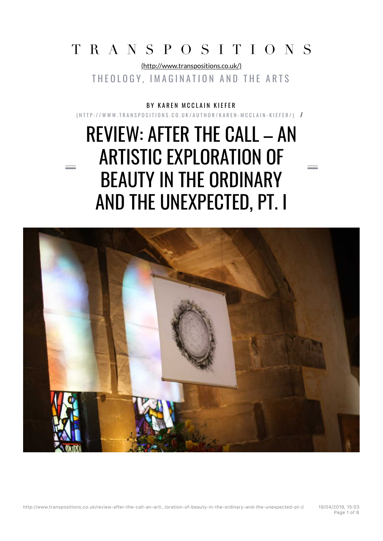# TRANSPOSITIONS

(http://www.transpositions.co.uk/) THEOLOGY, IMAGINATION AND THE ARTS

B Y KAREN MCCLAIN KIEFER

(HTTP://WWW.TRANSPOSITIONS.CO.UK/AUTHOR/KAREN-MCCLAIN-KIEFER/) /

# REVIEW: AFTER THE CALL – AN ARTISTIC EXPLORATION OF BEAUTY IN THE ORDINARY AND THE UNEXPECTED, PT. I

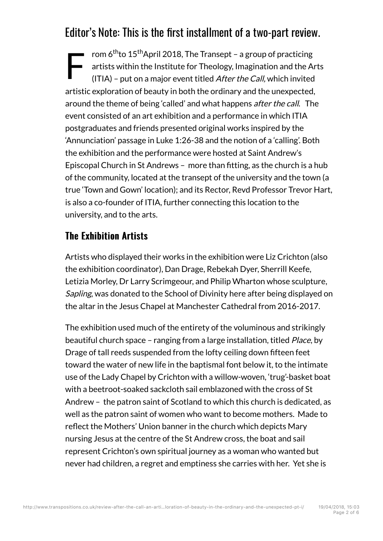## Editor's Note: This is the first installment of a two-part review.

F rom 6<sup>th</sup>to 15<sup>th</sup>April 2018, The Transept – a group of practicing artists within the Institute for Theology, Imagination and the Arts (ITIA) – put on a major event titled After the Call, which invited artistic exploration of beauty in both the ordinary and the unexpected, around the theme of being 'called' and what happens after the call. The event consisted of an art exhibition and a performance in which ITIA postgraduates and friends presented original works inspired by the 'Annunciation' passage in Luke 1:26-38 and the notion of a 'calling'. Both the exhibition and the performance were hosted at Saint Andrew's Episcopal Church in St Andrews – more than fitting, as the church is a hub of the community, located at the transept of the university and the town (a true 'Town and Gown' location); and its Rector, Revd Professor Trevor Hart, is also a co-founder of ITIA, further connecting this location to the university, and to the arts.

#### **The Exhibition Artists**

Artists who displayed their works in the exhibition were Liz Crichton (also the exhibition coordinator), Dan Drage, Rebekah Dyer, Sherrill Keefe, Letizia Morley, Dr Larry Scrimgeour, and Philip Wharton whose sculpture, Sapling, was donated to the School of Divinity here after being displayed on the altar in the Jesus Chapel at Manchester Cathedral from 2016-2017.

The exhibition used much of the entirety of the voluminous and strikingly beautiful church space – ranging from a large installation, titled *Place*, by Drage of tall reeds suspended from the lofty ceiling down fifteen feet toward the water of new life in the baptismal font below it, to the intimate use of the Lady Chapel by Crichton with a willow-woven, 'trug'-basket boat with a beetroot-soaked sackcloth sail emblazoned with the cross of St Andrew – the patron saint of Scotland to which this church is dedicated, as well as the patron saint of women who want to become mothers. Made to reflect the Mothers' Union banner in the church which depicts Mary nursing Jesus at the centre of the St Andrew cross, the boat and sail represent Crichton's own spiritual journey as a woman who wanted but never had children, a regret and emptiness she carries with her. Yet she is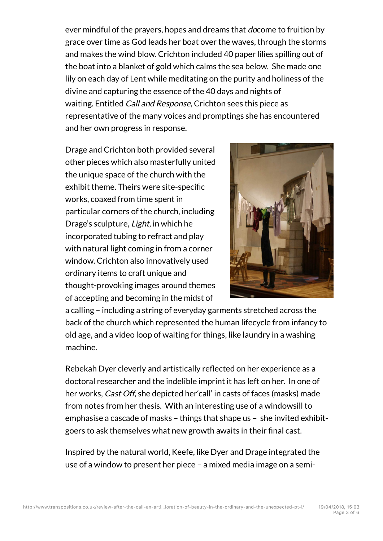ever mindful of the prayers, hopes and dreams that *do*come to fruition by grace over time as God leads her boat over the waves, through the storms and makes the wind blow. Crichton included 40 paper lilies spilling out of the boat into a blanket of gold which calms the sea below. She made one lily on each day of Lent while meditating on the purity and holiness of the divine and capturing the essence of the 40 days and nights of waiting. Entitled *Call and Response*, Crichton sees this piece as representative of the many voices and promptings she has encountered and her own progress in response.

Drage and Crichton both provided several other pieces which also masterfully united the unique space of the church with the exhibit theme. Theirs were site-specific works, coaxed from time spent in particular corners of the church, including Drage's sculpture, Light, in which he incorporated tubing to refract and play with natural light coming in from a corner window. Crichton also innovatively used ordinary items to craft unique and thought-provoking images around themes of accepting and becoming in the midst of



a calling – including a string of everyday garments stretched across the back of the church which represented the human lifecycle from infancy to old age, and a video loop of waiting for things, like laundry in a washing machine.

Rebekah Dyer cleverly and artistically reflected on her experience as a doctoral researcher and the indelible imprint it has left on her. In one of her works, *Cast Off*, she depicted her'call' in casts of faces (masks) made from notes from her thesis. With an interesting use of a windowsill to emphasise a cascade of masks – things that shape us – she invited exhibitgoers to ask themselves what new growth awaits in their final cast.

Inspired by the natural world, Keefe, like Dyer and Drage integrated the use of a window to present her piece – a mixed media image on a semi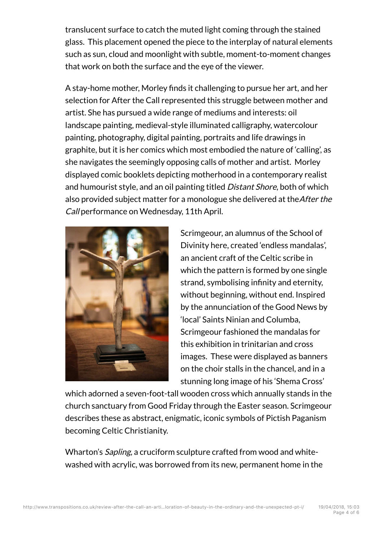translucent surface to catch the muted light coming through the stained glass. This placement opened the piece to the interplay of natural elements such as sun, cloud and moonlight with subtle, moment-to-moment changes that work on both the surface and the eye of the viewer.

A stay-home mother, Morley finds it challenging to pursue her art, and her selection for After the Call represented this struggle between mother and artist. She has pursued a wide range of mediums and interests: oil landscape painting, medieval-style illuminated calligraphy, watercolour painting, photography, digital painting, portraits and life drawings in graphite, but it is her comics which most embodied the nature of 'calling', as she navigates the seemingly opposing calls of mother and artist. Morley displayed comic booklets depicting motherhood in a contemporary realist and humourist style, and an oil painting titled Distant Shore, both of which also provided subject matter for a monologue she delivered at the *After the* Call performance on Wednesday, 11th April.



Scrimgeour, an alumnus of the School of Divinity here, created 'endless mandalas', an ancient craft of the Celtic scribe in which the pattern is formed by one single strand, symbolising infinity and eternity, without beginning, without end. Inspired by the annunciation of the Good News by 'local' Saints Ninian and Columba, Scrimgeour fashioned the mandalas for this exhibition in trinitarian and cross images. These were displayed as banners on the choir stalls in the chancel, and in a stunning long image of his 'Shema Cross'

which adorned a seven-foot-tall wooden cross which annually stands in the church sanctuary from Good Friday through the Easter season. Scrimgeour describes these as abstract, enigmatic, iconic symbols of Pictish Paganism becoming Celtic Christianity.

Wharton's Sapling, a cruciform sculpture crafted from wood and whitewashed with acrylic, was borrowed from its new, permanent home in the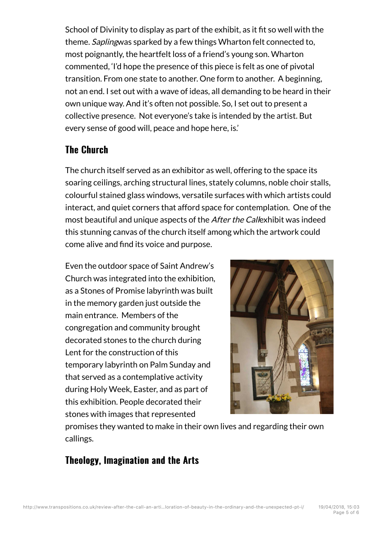School of Divinity to display as part of the exhibit, as it fit so well with the theme. Saplingwas sparked by a few things Wharton felt connected to, most poignantly, the heartfelt loss of a friend's young son. Wharton commented, 'I'd hope the presence of this piece is felt as one of pivotal transition. From one state to another. One form to another. A beginning, not an end. I set out with a wave of ideas, all demanding to be heard in their own unique way. And it's often not possible. So, I set out to present a collective presence. Not everyone's take is intended by the artist. But every sense of good will, peace and hope here, is.'

#### **The Church**

The church itself served as an exhibitor as well, offering to the space its soaring ceilings, arching structural lines, stately columns, noble choir stalls, colourful stained glass windows, versatile surfaces with which artists could interact, and quiet corners that afford space for contemplation. One of the most beautiful and unique aspects of the After the Callexhibit was indeed this stunning canvas of the church itself among which the artwork could come alive and find its voice and purpose.

Even the outdoor space of Saint Andrew's Church was integrated into the exhibition, as a Stones of Promise labyrinth was built in the memory garden just outside the main entrance. Members of the congregation and community brought decorated stones to the church during Lent for the construction of this temporary labyrinth on Palm Sunday and that served as a contemplative activity during Holy Week, Easter, and as part of this exhibition. People decorated their stones with images that represented



promises they wanted to make in their own lives and regarding their own callings.

### Theology, Imagination and the Arts